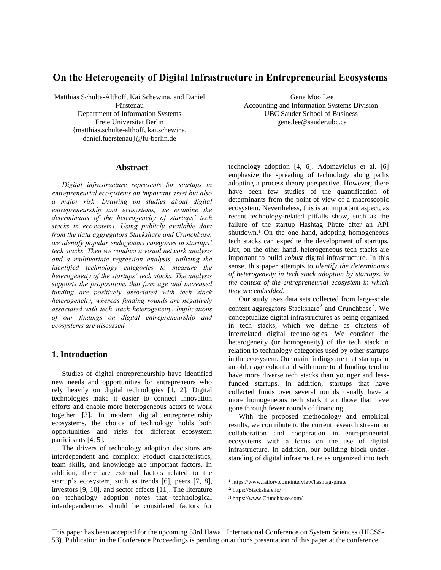# **On the Heterogeneity of Digital Infrastructure in Entrepreneurial Ecosystems**

Matthias Schulte-Althoff, Kai Schewina, and Daniel Fürstenau Department of Information Systems Freie Universität Berlin {matthias.schulte-althoff, kai.schewina, daniel.fuerstenau}@fu-berlin.de

#### **Abstract**

*Digital infrastructure represents for startups in entrepreneurial ecosystems an important asset but also a major risk. Drawing on studies about digital entrepreneurship and ecosystems, we examine the determinants of the heterogeneity of startups' tech stacks in ecosystems. Using publicly available data from the data aggregators Stackshare and Crunchbase, we identify popular endogenous categories in startups' tech stacks. Then we conduct a visual network analysis and a multivariate regression analysis, utilizing the identified technology categories to measure the heterogeneity of the startups' tech stacks. The analysis supports the propositions that firm age and increased funding are positively associated with tech stack heterogeneity, whereas funding rounds are negatively associated with tech stack heterogeneity. Implications of our findings on digital entrepreneurship and ecosystems are discussed.*

# **1. Introduction**

Studies of digital entrepreneurship have identified new needs and opportunities for entrepreneurs who rely heavily on digital technologies [1, 2]. Digital technologies make it easier to connect innovation efforts and enable more heterogeneous actors to work together [3]. In modern digital entrepreneurship ecosystems, the choice of technology holds both opportunities and risks for different ecosystem participants [4, 5].

The drivers of technology adoption decisions are interdependent and complex: Product characteristics, team skills, and knowledge are important factors. In addition, there are external factors related to the startup's ecosystem, such as trends [6], peers [7, 8], investors [9, 10], and sector effects [11]. The literature on technology adoption notes that technological interdependencies should be considered factors for Gene Moo Lee

Accounting and Information Systems Division UBC Sauder School of Business [gene.lee@sauder.ubc.ca](mailto:gene.lee@sauder.ubc.ca)

technology adoption [4, 6]. Adomavicius et al. [6] emphasize the spreading of technology along paths adopting a process theory perspective. However, there have been few studies of the quantification of determinants from the point of view of a macroscopic ecosystem. Nevertheless, this is an important aspect, as recent technology-related pitfalls show, such as the failure of the startup Hashtag Pirate after an API shutdown.<sup>1</sup> On the one hand, adopting homogeneous tech stacks can expedite the development of startups. But, on the other hand, heterogeneous tech stacks are important to build *robust* digital infrastructure. In this sense, this paper attempts to *identify the determinants of heterogeneity in tech stack adoption by startups, in the context of the entrepreneurial ecosystem in which they are embedded.*

Our study uses data sets collected from large-scale content aggregators Stackshare<sup>2</sup> and Crunchbase<sup>3</sup>. We conceptualize digital infrastructures as being organized in tech stacks, which we define as clusters of interrelated digital technologies. We consider the heterogeneity (or homogeneity) of the tech stack in relation to technology categories used by other startups in the ecosystem. Our main findings are that startups in an older age cohort and with more total funding tend to have more diverse tech stacks than younger and lessfunded startups. In addition, startups that have collected funds over several rounds usually have a more homogeneous tech stack than those that have gone through fewer rounds of financing.

With the proposed methodology and empirical results, we contribute to the current research stream on collaboration and cooperation in entrepreneurial ecosystems with a focus on the use of digital infrastructure. In addition, our building block understanding of digital infrastructure as organized into tech

<sup>1</sup> https://www.failory.com/interview/hashtag-pirate

<sup>2</sup> https://Stackshare.io/

<sup>3</sup> https://www.Crunchbase.com/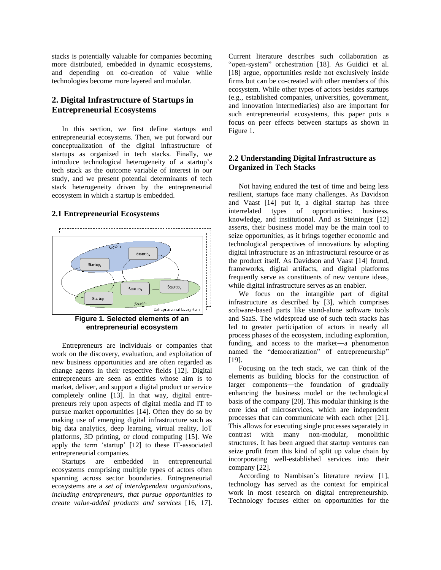stacks is potentially valuable for companies becoming more distributed, embedded in dynamic ecosystems, and depending on co-creation of value while technologies become more layered and modular.

# **2. Digital Infrastructure of Startups in Entrepreneurial Ecosystems**

In this section, we first define startups and entrepreneurial ecosystems. Then, we put forward our conceptualization of the digital infrastructure of startups as organized in tech stacks. Finally, we introduce technological heterogeneity of a startup's tech stack as the outcome variable of interest in our study, and we present potential determinants of tech stack heterogeneity driven by the entrepreneurial ecosystem in which a startup is embedded.

#### **2.1 Entrepreneurial Ecosystems**





Entrepreneurs are individuals or companies that work on the discovery, evaluation, and exploitation of new business opportunities and are often regarded as change agents in their respective fields [12]. Digital entrepreneurs are seen as entities whose aim is to market, deliver, and support a digital product or service completely online [13]. In that way, digital entrepreneurs rely upon aspects of digital media and IT to pursue market opportunities [14]. Often they do so by making use of emerging digital infrastructure such as big data analytics, deep learning, virtual reality, IoT platforms, 3D printing, or cloud computing [15]. We apply the term 'startup' [12] to these IT-associated entrepreneurial companies.

Startups are embedded in entrepreneurial ecosystems comprising multiple types of actors often spanning across sector boundaries. Entrepreneurial ecosystems are a *set of interdependent organizations, including entrepreneurs, that pursue opportunities to create value-added products and services* [16, 17].

Current literature describes such collaboration as "open-system" orchestration [18]. As Guidici et al. [18] argue, opportunities reside not exclusively inside firms but can be co-created with other members of this ecosystem. While other types of actors besides startups (e.g., established companies, universities, government, and innovation intermediaries) also are important for such entrepreneurial ecosystems, this paper puts a focus on peer effects between startups as shown in Figure 1.

# **2.2 Understanding Digital Infrastructure as Organized in Tech Stacks**

Not having endured the test of time and being less resilient, startups face many challenges. As Davidson and Vaast [14] put it, a digital startup has three interrelated types of opportunities: business, knowledge, and institutional. And as Steininger [12] asserts, their business model may be the main tool to seize opportunities, as it brings together economic and technological perspectives of innovations by adopting digital infrastructure as an infrastructural resource or as the product itself. As Davidson and Vaast [14] found, frameworks, digital artifacts, and digital platforms frequently serve as constituents of new venture ideas, while digital infrastructure serves as an enabler.

We focus on the intangible part of digital infrastructure as described by [3], which comprises software-based parts like stand-alone software tools and SaaS. The widespread use of such tech stacks has led to greater participation of actors in nearly all process phases of the ecosystem, including exploration, funding, and access to the market―a phenomenon named the "democratization" of entrepreneurship" [19].

Focusing on the tech stack, we can think of the elements as building blocks for the construction of larger components—the foundation of gradually enhancing the business model or the technological basis of the company [20]. This modular thinking is the core idea of microservices, which are independent processes that can communicate with each other [21]. This allows for executing single processes separately in contrast with many non-modular, monolithic structures. It has been argued that startup ventures can seize profit from this kind of split up value chain by incorporating well-established services into their company [22].

According to Nambisan's literature review [1], technology has served as the context for empirical work in most research on digital entrepreneurship. Technology focuses either on opportunities for the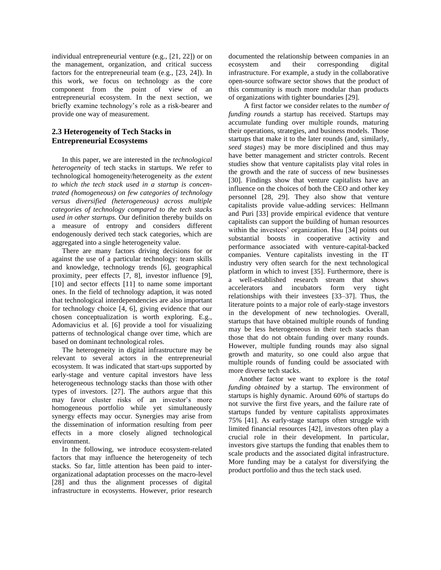individual entrepreneurial venture (e.g., [21, 22]) or on the management, organization, and critical success factors for the entrepreneurial team (e.g., [23, 24]). In this work, we focus on technology as the core component from the point of view of an entrepreneurial ecosystem. In the next section, we briefly examine technology's role as a risk-bearer and provide one way of measurement.

# **2.3 Heterogeneity of Tech Stacks in Entrepreneurial Ecosystems**

In this paper, we are interested in the *technological heterogeneity* of tech stacks in startups. We refer to technological homogeneity/heterogeneity as *the extent to which the tech stack used in a startup is concentrated (homogeneous) on few categories of technology versus diversified (heterogeneous) across multiple categories of technology compared to the tech stacks used in other startups.* Our definition thereby builds on a measure of entropy and considers different endogenously derived tech stack categories, which are aggregated into a single heterogeneity value.

There are many factors driving decisions for or against the use of a particular technology: team skills and knowledge, technology trends [6], geographical proximity, peer effects [7, 8], investor influence [9], [10] and sector effects [11] to name some important ones. In the field of technology adaption, it was noted that technological interdependencies are also important for technology choice [4, 6], giving evidence that our chosen conceptualization is worth exploring. E.g., Adomavicius et al. [6] provide a tool for visualizing patterns of technological change over time, which are based on dominant technological roles.

The heterogeneity in digital infrastructure may be relevant to several actors in the entrepreneurial ecosystem. It was indicated that start-ups supported by early-stage and venture capital investors have less heterogeneous technology stacks than those with other types of investors. [27]. The authors argue that this may favor cluster risks of an investor's more homogeneous portfolio while yet simultaneously synergy effects may occur. Synergies may arise from the dissemination of information resulting from peer effects in a more closely aligned technological environment.

In the following, we introduce ecosystem-related factors that may influence the heterogeneity of tech stacks. So far, little attention has been paid to interorganizational adaptation processes on the macro-level [28] and thus the alignment processes of digital infrastructure in ecosystems. However, prior research documented the relationship between companies in an ecosystem and their corresponding digital infrastructure. For example, a study in the collaborative open-source software sector shows that the product of this community is much more modular than products of organizations with tighter boundaries [29].

A first factor we consider relates to the *number of funding rounds* a startup has received. Startups may accumulate funding over multiple rounds, maturing their operations, strategies, and business models. Those startups that make it to the later rounds (and, similarly, *seed stages*) may be more disciplined and thus may have better management and stricter controls. Recent studies show that venture capitalists play vital roles in the growth and the rate of success of new businesses [30]. Findings show that venture capitalists have an influence on the choices of both the CEO and other key personnel [28, 29]. They also show that venture capitalists provide value-adding services: Hellmann and Puri [33] provide empirical evidence that venture capitalists can support the building of human resources within the investees' organization. Hsu [34] points out substantial boosts in cooperative activity and performance associated with venture-capital-backed companies. Venture capitalists investing in the IT industry very often search for the next technological platform in which to invest [35]. Furthermore, there is a well-established research stream that shows accelerators and incubators form very tight relationships with their investees [33–37]. Thus, the literature points to a major role of early-stage investors in the development of new technologies. Overall, startups that have obtained multiple rounds of funding may be less heterogeneous in their tech stacks than those that do not obtain funding over many rounds. However, multiple funding rounds may also signal growth and maturity, so one could also argue that multiple rounds of funding could be associated with more diverse tech stacks.

Another factor we want to explore is the *total funding obtained* by a startup. The environment of startups is highly dynamic. Around 60% of startups do not survive the first five years, and the failure rate of startups funded by venture capitalists approximates 75% [41]. As early-stage startups often struggle with limited financial resources [42], investors often play a crucial role in their development. In particular, investors give startups the funding that enables them to scale products and the associated digital infrastructure. More funding may be a catalyst for diversifying the product portfolio and thus the tech stack used.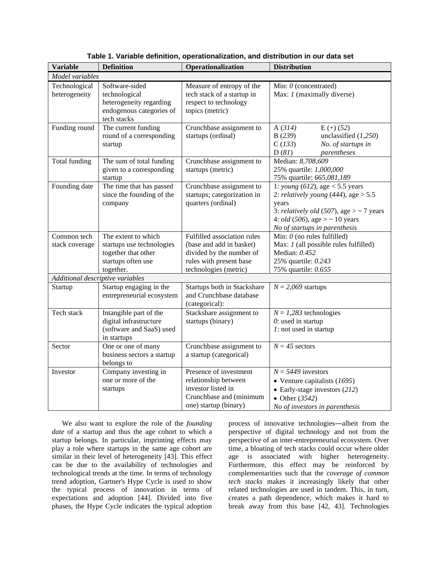| <b>Variable</b>                  | <b>Definition</b>                                                                                          | Operationalization                                                                                                                      | <b>Distribution</b>                                                                                                                                                                                                |  |  |  |  |  |  |
|----------------------------------|------------------------------------------------------------------------------------------------------------|-----------------------------------------------------------------------------------------------------------------------------------------|--------------------------------------------------------------------------------------------------------------------------------------------------------------------------------------------------------------------|--|--|--|--|--|--|
| Model variables                  |                                                                                                            |                                                                                                                                         |                                                                                                                                                                                                                    |  |  |  |  |  |  |
| Technological<br>heterogeneity   | Software-sided<br>technological<br>heterogeneity regarding<br>endogenous categories of<br>tech stacks      | Measure of entropy of the<br>tech stack of a startup in<br>respect to technology<br>topics (metric)                                     | Min: 0 (concentrated)<br>Max: <i>1</i> (maximally diverse)                                                                                                                                                         |  |  |  |  |  |  |
| Funding round                    | The current funding<br>round of a corresponding<br>startup                                                 | Crunchbase assignment to<br>startups (ordinal)                                                                                          | A(314)<br>$E (+) (52)$<br>unclassified $(1,250)$<br>B(239)<br>C(133)<br>No. of startups in<br>D(8I)<br>parentheses                                                                                                 |  |  |  |  |  |  |
| Total funding                    | The sum of total funding<br>given to a corresponding<br>startup                                            | Crunchbase assignment to<br>startups (metric)                                                                                           | Median: 8,708,609<br>25% quartile: 1,000,000<br>75% quartile: 665,081,189                                                                                                                                          |  |  |  |  |  |  |
| Founding date                    | The time that has passed<br>since the founding of the<br>company                                           | Crunchbase assignment to<br>startups; categorization in<br>quarters (ordinal)                                                           | 1: young $(612)$ , age < 5.5 years<br>2: relatively young $(444)$ , age $> 5.5$<br>years<br>3: relatively old (507), age $>$ ~ 7 years<br>4: <i>old</i> (506), age $>$ ~ 10 years<br>No of startups in parenthesis |  |  |  |  |  |  |
| Common tech<br>stack coverage    | The extent to which<br>startups use technologies<br>together that other<br>startups often use<br>together. | Fulfilled association rules<br>(base and add in basket)<br>divided by the number of<br>rules with present base<br>technologies (metric) | $\overline{\text{Min}: 0}$ (no rules fulfilled)<br>Max: 1 (all possible rules fulfilled)<br>Median: 0.452<br>25% quartile: 0.243<br>75% quartile: 0.655                                                            |  |  |  |  |  |  |
| Additional descriptive variables |                                                                                                            |                                                                                                                                         |                                                                                                                                                                                                                    |  |  |  |  |  |  |
| Startup                          | Startup engaging in the<br>entrepreneurial ecosystem                                                       | Startups both in Stackshare<br>and Crunchbase database<br>(categorical):                                                                | $N = 2,069$ startups                                                                                                                                                                                               |  |  |  |  |  |  |
| Tech stack                       | Intangible part of the<br>digital infrastructure<br>(software and SaaS) used<br>in startups                | Stackshare assignment to<br>startups (binary)                                                                                           | $N = 1,283$ technologies<br>$0$ : used in startup<br>$l$ : not used in startup                                                                                                                                     |  |  |  |  |  |  |
| Sector                           | One or one of many<br>business sectors a startup<br>belongs to                                             | Crunchbase assignment to<br>a startup (categorical)                                                                                     | $N = 45$ sectors                                                                                                                                                                                                   |  |  |  |  |  |  |
| Investor                         | Company investing in<br>one or more of the<br>startups                                                     | Presence of investment<br>relationship between<br>investor listed in<br>Crunchbase and (minimum<br>one) startup (binary)                | $N = 5449$ investors<br>• Venture capitalists $(1695)$<br>$\bullet$ Early-stage investors (212)<br>• Other $(3542)$<br>No of investors in parenthesis                                                              |  |  |  |  |  |  |

**Table 1. Variable definition, operationalization, and distribution in our data set**

We also want to explore the role of the *founding date* of a startup and thus the age cohort to which a startup belongs. In particular, imprinting effects may play a role where startups in the same age cohort are similar in their level of heterogeneity [43]. This effect can be due to the availability of technologies and technological trends at the time. In terms of technology trend adoption, Gartner's Hype Cycle is used to show the typical process of innovation in terms of expectations and adoption [44]. Divided into five phases, the Hype Cycle indicates the typical adoption

process of innovative technologies―albeit from the perspective of digital technology and not from the perspective of an inter-entrepreneurial ecosystem. Over time, a bloating of tech stacks could occur where older age is associated with higher heterogeneity. Furthermore, this effect may be reinforced by complementarities such that the *coverage of common tech stacks* makes it increasingly likely that other related technologies are used in tandem. This, in turn, creates a path dependence, which makes it hard to break away from this base [42, 43]. Technologies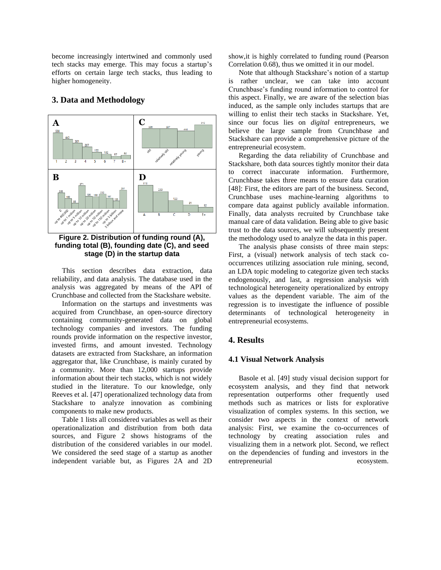become increasingly intertwined and commonly used tech stacks may emerge. This may focus a startup's efforts on certain large tech stacks, thus leading to higher homogeneity.

# **B D A C**

#### **3. Data and Methodology**

**Figure 2. Distribution of funding round (A), funding total (B), founding date (C), and seed stage (D) in the startup data**

This section describes data extraction, data reliability, and data analysis. The database used in the analysis was aggregated by means of the API of Crunchbase and collected from the Stackshare website.

Information on the startups and investments was acquired from Crunchbase, an open-source directory containing community-generated data on global technology companies and investors. The funding rounds provide information on the respective investor, invested firms, and amount invested. Technology datasets are extracted from Stackshare, an information aggregator that, like Crunchbase, is mainly curated by a community. More than 12,000 startups provide information about their tech stacks, which is not widely studied in the literature. To our knowledge, only Reeves et al. [47] operationalized technology data from Stackshare to analyze innovation as combining components to make new products.

Table 1 lists all considered variables as well as their operationalization and distribution from both data sources, and Figure 2 shows histograms of the distribution of the considered variables in our model. We considered the seed stage of a startup as another independent variable but, as Figures 2A and 2D

show,it is highly correlated to funding round (Pearson Correlation 0.68), thus we omitted it in our model.

Note that although Stackshare's notion of a startup is rather unclear, we can take into account Crunchbase's funding round information to control for this aspect. Finally, we are aware of the selection bias induced, as the sample only includes startups that are willing to enlist their tech stacks in Stackshare. Yet, since our focus lies on *digital* entrepreneurs, we believe the large sample from Crunchbase and Stackshare can provide a comprehensive picture of the entrepreneurial ecosystem.

Regarding the data reliability of Crunchbase and Stackshare, both data sources tightly monitor their data to correct inaccurate information. Furthermore, Crunchbase takes three means to ensure data curation [48]: First, the editors are part of the business. Second, Crunchbase uses machine-learning algorithms to compare data against publicly available information. Finally, data analysts recruited by Crunchbase take manual care of data validation. Being able to give basic trust to the data sources, we will subsequently present the methodology used to analyze the data in this paper.

The analysis phase consists of three main steps: First, a (visual) network analysis of tech stack cooccurrences utilizing association rule mining, second, an LDA topic modeling to categorize given tech stacks endogenously, and last, a regression analysis with technological heterogeneity operationalized by entropy values as the dependent variable. The aim of the regression is to investigate the influence of possible determinants of technological heterogeneity in entrepreneurial ecosystems.

# **4. Results**

#### **4.1 Visual Network Analysis**

Basole et al. [49] study visual decision support for ecosystem analysis, and they find that network representation outperforms other frequently used methods such as matrices or lists for explorative visualization of complex systems. In this section, we consider two aspects in the context of network analysis: First, we examine the co-occurrences of technology by creating association rules and visualizing them in a network plot. Second, we reflect on the dependencies of funding and investors in the entrepreneurial ecosystem.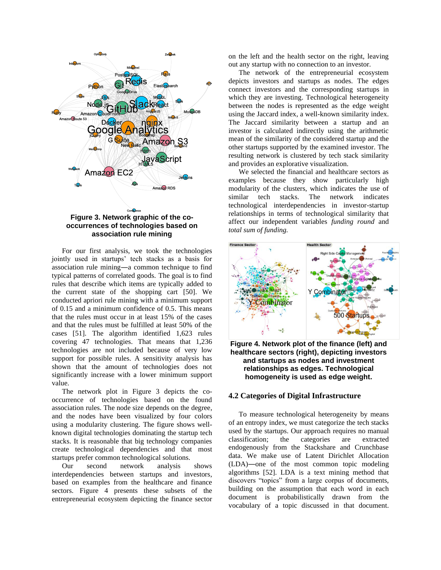

**occurrences of technologies based on association rule mining**

For our first analysis, we took the technologies jointly used in startups' tech stacks as a basis for association rule mining―a common technique to find typical patterns of correlated goods. The goal is to find rules that describe which items are typically added to the current state of the shopping cart [50]. We conducted apriori rule mining with a minimum support of 0.15 and a minimum confidence of 0.5. This means that the rules must occur in at least 15% of the cases and that the rules must be fulfilled at least 50% of the cases [51]. The algorithm identified 1,623 rules covering 47 technologies. That means that 1,236 technologies are not included because of very low support for possible rules. A sensitivity analysis has shown that the amount of technologies does not significantly increase with a lower minimum support value.

The network plot in Figure 3 depicts the cooccurrence of technologies based on the found association rules. The node size depends on the degree, and the nodes have been visualized by four colors using a modularity clustering. The figure shows wellknown digital technologies dominating the startup tech stacks. It is reasonable that big technology companies create technological dependencies and that most startups prefer common technological solutions.

Our second network analysis shows interdependencies between startups and investors, based on examples from the healthcare and finance sectors. Figure 4 presents these subsets of the entrepreneurial ecosystem depicting the finance sector

on the left and the health sector on the right, leaving out any startup with no connection to an investor.

The network of the entrepreneurial ecosystem depicts investors and startups as nodes. The edges connect investors and the corresponding startups in which they are investing. Technological heterogeneity between the nodes is represented as the edge weight using the Jaccard index, a well-known similarity index. The Jaccard similarity between a startup and an investor is calculated indirectly using the arithmetic mean of the similarity of the considered startup and the other startups supported by the examined investor. The resulting network is clustered by tech stack similarity and provides an explorative visualization.

We selected the financial and healthcare sectors as examples because they show particularly high modularity of the clusters, which indicates the use of similar tech stacks. The network indicates technological interdependencies in investor-startup relationships in terms of technological similarity that affect our independent variables *funding round* and *total sum of funding.*



**Figure 4. Network plot of the finance (left) and healthcare sectors (right), depicting investors and startups as nodes and investment relationships as edges. Technological homogeneity is used as edge weight.**

#### **4.2 Categories of Digital Infrastructure**

To measure technological heterogeneity by means of an entropy index, we must categorize the tech stacks used by the startups. Our approach requires no manual classification; the categories are extracted endogenously from the Stackshare and Crunchbase data. We make use of Latent Dirichlet Allocation (LDA)―one of the most common topic modeling algorithms [52]. LDA is a text mining method that discovers "topics" from a large corpus of documents, building on the assumption that each word in each document is probabilistically drawn from the vocabulary of a topic discussed in that document.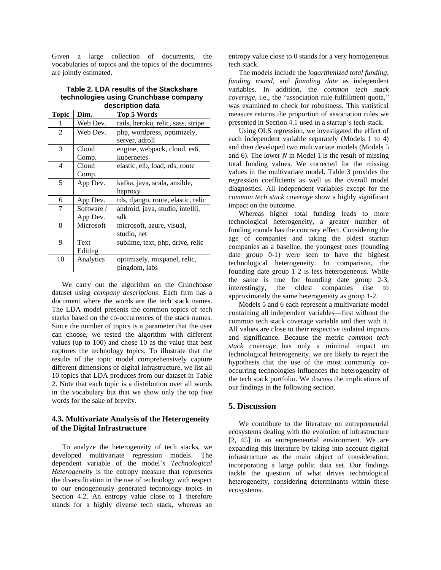Given a large collection of documents, the vocabularies of topics and the topics of the documents are jointly estimated.

| Table 2. LDA results of the Stackshare |
|----------------------------------------|
| technologies using Crunchbase company  |
| description data                       |

| <b>Topic</b>   | Dim.                   | .<br><b>Top 5 Words</b>                       |
|----------------|------------------------|-----------------------------------------------|
| 1              | Web Dev.               | rails, heroku, relic, sass, stripe            |
| $\overline{2}$ | Web Dev.               | php, wordpress, optimizely,<br>server, adroll |
| 3              | Cloud<br>Comp.         | engine, webpack, cloud, es6,<br>kubernetes    |
| 4              | Cloud<br>Comp.         | elastic, elb, load, rds, route                |
| 5              | App Dev.               | kafka, java, scala, ansible,<br>haproxy       |
| 6              | App Dev.               | rds, django, route, elastic, relic            |
| 7              | Software /<br>App Dev. | android, java, studio, intellij,<br>sdk       |
| 8              | Microsoft              | microsoft, azure, visual,<br>studio, net      |
| 9              | Text<br>Editing        | sublime, text, php, drive, relic              |
| 10             | Analytics              | optimizely, mixpanel, relic,<br>pingdom, labs |

We carry out the algorithm on the Crunchbase dataset using *company descriptions*. Each firm has a document where the words are the tech stack names. The LDA model presents the common topics of tech stacks based on the co-occurrences of the stack names. Since the number of topics is a parameter that the user can choose, we tested the algorithm with different values (up to 100) and chose 10 as the value that best captures the technology topics. To illustrate that the results of the topic model comprehensively capture different dimensions of digital infrastructure, we list all 10 topics that LDA produces from our dataset in Table 2. Note that each topic is a distribution over all words in the vocabulary but that we show only the top five words for the sake of brevity.

# **4.3. Multivariate Analysis of the Heterogeneity of the Digital Infrastructure**

To analyze the heterogeneity of tech stacks, we developed multivariate regression models. The dependent variable of the model's *Technological Heterogeneity* is the entropy measure that represents the diversification in the use of technology with respect to our endogenously generated technology topics in Section 4.2. An entropy value close to 1 therefore stands for a highly diverse tech stack, whereas an entropy value close to 0 stands for a very homogeneous tech stack.

The models include the *logarithmized total funding*, *funding round,* and *founding date* as independent variables. In addition, the *common tech stack coverage*, i.e., the "association rule fulfillment quota," was examined to check for robustness. This statistical measure returns the proportion of association rules we presented in Section 4.1 used in a startup's tech stack.

Using OLS regression, we investigated the effect of each independent variable separately (Models 1 to 4) and then developed two multivariate models (Models 5 and 6). The lower *N* in Model 1 is the result of missing total funding values. We corrected for the missing values in the multivariate model. Table 3 provides the regression coefficients as well as the overall model diagnostics. All independent variables except for the *common tech stack coverage* show a highly significant impact on the outcome.

Whereas higher total funding leads to more technological heterogeneity, a greater number of funding rounds has the contrary effect. Considering the age of companies and taking the oldest startup companies as a baseline, the youngest ones (founding date group 0-1) were seen to have the highest technological heterogeneity. In comparison, the founding date group 1-2 is less heterogeneous. While the same is true for founding date group 2-3, interestingly, the oldest companies rise to approximately the same heterogeneity as group 1-2.

Models 5 and 6 each represent a multivariate model containing all independent variables―first without the common tech stack coverage variable and then with it. All values are close to their respective isolated impacts and significance. Because the metric *common tech stack coverage* has only a minimal impact on technological heterogeneity, we are likely to reject the hypothesis that the use of the most commonly cooccurring technologies influences the heterogeneity of the tech stack portfolio. We discuss the implications of our findings in the following section.

#### **5. Discussion**

We contribute to the literature on entrepreneurial ecosystems dealing with the evolution of infrastructure [2, 45] in an entrepreneurial environment. We are expanding this literature by taking into account digital infrastructure as the main object of consideration, incorporating a large public data set. Our findings tackle the question of what drives technological heterogeneity, considering determinants within these ecosystems.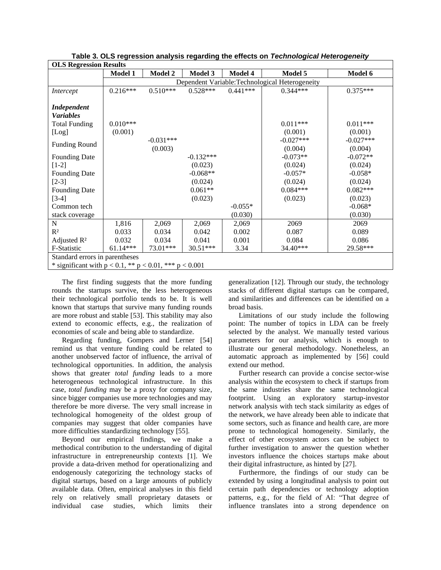| <b>OLS Regression Results</b>                                    |                                                 |                        |                |            |                        |                        |  |  |
|------------------------------------------------------------------|-------------------------------------------------|------------------------|----------------|------------|------------------------|------------------------|--|--|
|                                                                  | <b>Model 1</b>                                  | Model 2                | <b>Model 3</b> | Model 4    | Model 5                | Model 6                |  |  |
|                                                                  | Dependent Variable: Technological Heterogeneity |                        |                |            |                        |                        |  |  |
| Intercept                                                        | $0.216***$                                      | $0.510***$             | $0.528***$     | $0.441***$ | $0.344***$             | $0.375***$             |  |  |
| Independent<br><b>Variables</b><br><b>Total Funding</b><br>[Log] | $0.010***$<br>(0.001)                           |                        |                |            | $0.011***$<br>(0.001)  | $0.011***$<br>(0.001)  |  |  |
| <b>Funding Round</b>                                             |                                                 | $-0.031***$<br>(0.003) |                |            | $-0.027***$<br>(0.004) | $-0.027***$<br>(0.004) |  |  |
| <b>Founding Date</b>                                             |                                                 |                        | $-0.132***$    |            | $-0.073**$             | $-0.072**$             |  |  |
| $[1-2]$                                                          |                                                 |                        | (0.023)        |            | (0.024)                | (0.024)                |  |  |
| <b>Founding Date</b>                                             |                                                 |                        | $-0.068**$     |            | $-0.057*$              | $-0.058*$              |  |  |
| $[2-3]$                                                          |                                                 |                        | (0.024)        |            | (0.024)                | (0.024)                |  |  |
| <b>Founding Date</b>                                             |                                                 |                        | $0.061**$      |            | $0.084***$             | $0.082***$             |  |  |
| $[3-4]$                                                          |                                                 |                        | (0.023)        |            | (0.023)                | (0.023)                |  |  |
| Common tech                                                      |                                                 |                        |                | $-0.055*$  |                        | $-0.068*$              |  |  |
| stack coverage                                                   |                                                 |                        |                | (0.030)    |                        | (0.030)                |  |  |
| $\mathbf N$                                                      | 1,816                                           | 2,069                  | 2,069          | 2,069      | 2069                   | 2069                   |  |  |
| $R^2$                                                            | 0.033                                           | 0.034                  | 0.042          | 0.002      | 0.087                  | 0.089                  |  |  |
| Adjusted $\mathbb{R}^2$                                          | 0.032                                           | 0.034                  | 0.041          | 0.001      | 0.084                  | 0.086                  |  |  |
| F-Statistic                                                      | $61.14***$                                      | 73.01***               | $30.51***$     | 3.34       | 34.40***               | 29.58***               |  |  |
| Standard errors in parentheses                                   |                                                 |                        |                |            |                        |                        |  |  |
| * significant with $p < 0.1$ , ** $p < 0.01$ , *** $p < 0.001$   |                                                 |                        |                |            |                        |                        |  |  |

**Table 3. OLS regression analysis regarding the effects on** *Technological Heterogeneity*

The first finding suggests that the more funding rounds the startups survive, the less heterogeneous their technological portfolio tends to be. It is well known that startups that survive many funding rounds are more robust and stable [53]. This stability may also extend to economic effects, e.g., the realization of economies of scale and being able to standardize.

Regarding funding, Gompers and Lerner [54] remind us that venture funding could be related to another unobserved factor of influence, the arrival of technological opportunities. In addition, the analysis shows that greater *total funding* leads to a more heterogeneous technological infrastructure. In this case, *total funding* may be a proxy for company size, since bigger companies use more technologies and may therefore be more diverse. The very small increase in technological homogeneity of the oldest group of companies may suggest that older companies have more difficulties standardizing technology [55].

Beyond our empirical findings, we make a methodical contribution to the understanding of digital infrastructure in entrepreneurship contexts [1]. We provide a data-driven method for operationalizing and endogenously categorizing the technology stacks of digital startups, based on a large amounts of publicly available data. Often, empirical analyses in this field rely on relatively small proprietary datasets or individual case studies, which limits their

generalization [12]. Through our study, the technology stacks of different digital startups can be compared, and similarities and differences can be identified on a broad basis.

Limitations of our study include the following point: The number of topics in LDA can be freely selected by the analyst. We manually tested various parameters for our analysis, which is enough to illustrate our general methodology. Nonetheless, an automatic approach as implemented by [56] could extend our method.

Further research can provide a concise sector-wise analysis within the ecosystem to check if startups from the same industries share the same technological footprint. Using an exploratory startup-investor network analysis with tech stack similarity as edges of the network, we have already been able to indicate that some sectors, such as finance and health care, are more prone to technological homogeneity. Similarly, the effect of other ecosystem actors can be subject to further investigation to answer the question whether investors influence the choices startups make about their digital infrastructure, as hinted by [27].

Furthermore, the findings of our study can be extended by using a longitudinal analysis to point out certain path dependencies or technology adoption patterns, e.g., for the field of AI: "That degree of influence translates into a strong dependence on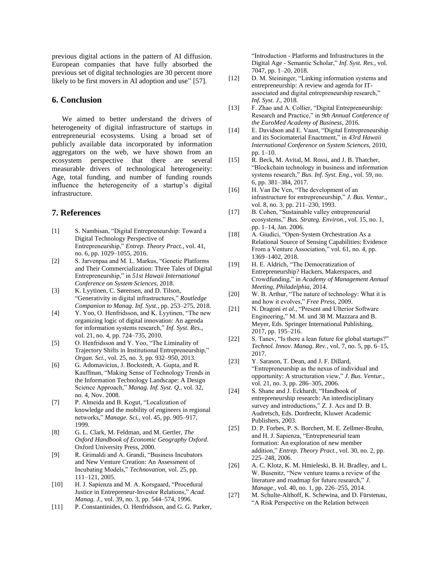previous digital actions in the pattern of AI diffusion. European companies that have fully absorbed the previous set of digital technologies are 30 percent more likely to be first movers in AI adoption and use" [57].

# **6. Conclusion**

We aimed to better understand the drivers of heterogeneity of digital infrastructure of startups in entrepreneurial ecosystems. Using a broad set of publicly available data incorporated by information aggregators on the web, we have shown from an ecosystem perspective that there are several measurable drivers of technological heterogeneity: Age, total funding, and number of funding rounds influence the heterogeneity of a startup's digital infrastructure.

#### **7. References**

- [1] S. Nambisan, "Digital Entrepreneurship: Toward a Digital Technology Perspective of Entrepreneurship," *Entrep. Theory Pract.*, vol. 41, no. 6, pp. 1029–1055, 2016.
- [2] S. Jarvenpaa and M. L. Markus, "Genetic Platforms and Their Commercialization: Three Tales of Digital Entrepreneurship," in *51st Hawaii International Conference on System Sciences*, 2018.
- [3] K. Lyytinen, C. Sørensen, and D. Tilson, "Generativity in digital infrastructures," *Routledge Companion to Manag. Inf. Syst.*, pp. 253–275, 2018.
- [4] Y. Yoo, O. Henfridsson, and K. Lyytinen, "The new organizing logic of digital innovation: An agenda for information systems research," *Inf. Syst. Res.*, vol. 21, no. 4, pp. 724–735, 2010.
- [5] O. Henfridsson and Y. Yoo, "The Liminality of Trajectory Shifts in Institutional Entrepreneurship," *Organ. Sci.*, vol. 25, no. 3, pp. 932–950, 2013.
- [6] G. Adomavicius, J. Bockstedt, A. Gupta, and R. Kauffman, "Making Sense of Technology Trends in the Information Technology Landscape: A Design Science Approach," *Manag. Inf. Syst. Q.*, vol. 32, no. 4, Nov. 2008.
- [7] P. Almeida and B. Kogut, "Localization of knowledge and the mobility of engineers in regional networks," *Manage. Sci.*, vol. 45, pp. 905–917, 1999.
- [8] G. L. Clark, M. Feldman, and M. Gertler, *The Oxford Handbook of Economic Geography Oxford*. Oxford University Press, 2000.
- [9] R. Grimaldi and A. Grandi, "Business Incubators and New Venture Creation: An Assessment of Incubating Models," *Technovation*, vol. 25, pp. 111–121, 2005.
- [10] H. J. Sapienza and M. A. Korsgaard, "Procedural Justice in Entrepreneur-Investor Relations," *Acad. Manag. J.*, vol. 39, no. 3, pp. 544–574, 1996.
- [11] P. Constantinides, O. Henfridsson, and G. G. Parker,

"Introduction - Platforms and Infrastructures in the Digital Age - Semantic Scholar," *Inf. Syst. Res.*, vol. 7047, pp. 1–20, 2018.

- [12] D. M. Steininger, "Linking information systems and entrepreneurship: A review and agenda for ITassociated and digital entrepreneurship research," *Inf. Syst. J.*, 2018.
- [13] F. Zhao and A. Collier, "Digital Entrepreneurship: Research and Practice," in *9th Annual Conference of the EuroMed Academy of Business*, 2016.
- [14] E. Davidson and E. Vaast, "Digital Entrepreneurship and its Sociomaterial Enactment," in *43rd Hawaii International Conference on System Sciences*, 2010, pp. 1–10.
- [15] R. Beck, M. Avital, M. Rossi, and J. B. Thatcher, "Blockchain technology in business and information systems research," *Bus. Inf. Syst. Eng.*, vol. 59, no. 6, pp. 381–384, 2017.
- [16] H. Van De Ven, "The development of an infrastructure for entrepreneurship," *J. Bus. Ventur.*, vol. 8, no. 3, pp. 211–230, 1993.
- [17] B. Cohen, "Sustainable valley entrepreneurial ecosystems," *Bus. Strateg. Environ.*, vol. 15, no. 1, pp. 1–14, Jan. 2006.
- [18] A. Giudici, "Open-System Orchestration As a Relational Source of Sensing Capabilities: Evidence From a Venture Association," vol. 61, no. 4, pp. 1369–1402, 2018.
- [19] H. E. Aldrich, "The Democratization of Entrepreneurship? Hackers, Makerspaces, and Crowdfunding," in *Academy of Management Annual Meeting, Philadelphia*, 2014.
- [20] W. B. Arthur, "The nature of technology: What it is and how it evolves," *Free Press*, 2009.
- [21] N. Dragoni *et al.*, "Present and Ulterior Software Engineering," M. M. und 38 M. Mazzara and B. Meyer, Eds. Springer International Publishing, 2017, pp. 195–216.
- [22] S. Tanev, "Is there a lean future for global startups?" *Technol. Innov. Manag. Rev.*, vol. 7, no. 5, pp. 6–15, 2017.
- [23] Y. Sarason, T. Dean, and J. F. Dillard, "Entrepreneurship as the nexus of individual and opportunity: A structuration view," *J. Bus. Ventur.*, vol. 21, no. 3, pp. 286–305, 2006.
- [24] S. Shane and J. Eckhardt, "Handbook of entrepreneurship research: An interdisciplinary survey and introductions," Z. J. Acs and D. B. Audretsch, Eds. Dordrecht, Kluwer Academic Publishers, 2003.
- [25] D. P. Forbes, P. S. Borchert, M. E. Zellmer-Bruhn, and H. J. Sapienza, "Entrepreneurial team formation: An exploration of new member addition," *Entrep. Theory Pract.*, vol. 30, no. 2, pp. 225–248, 2006.
- [26] A. C. Klotz, K. M. Hmieleski, B. H. Bradley, and L. W. Busenitz, "New venture teams a review of the literature and roadmap for future research," *J. Manage.*, vol. 40, no. 1, pp. 226–255, 2014.
- [27] M. Schulte-Althoff, K. Schewina, and D. Fürstenau, "A Risk Perspective on the Relation between